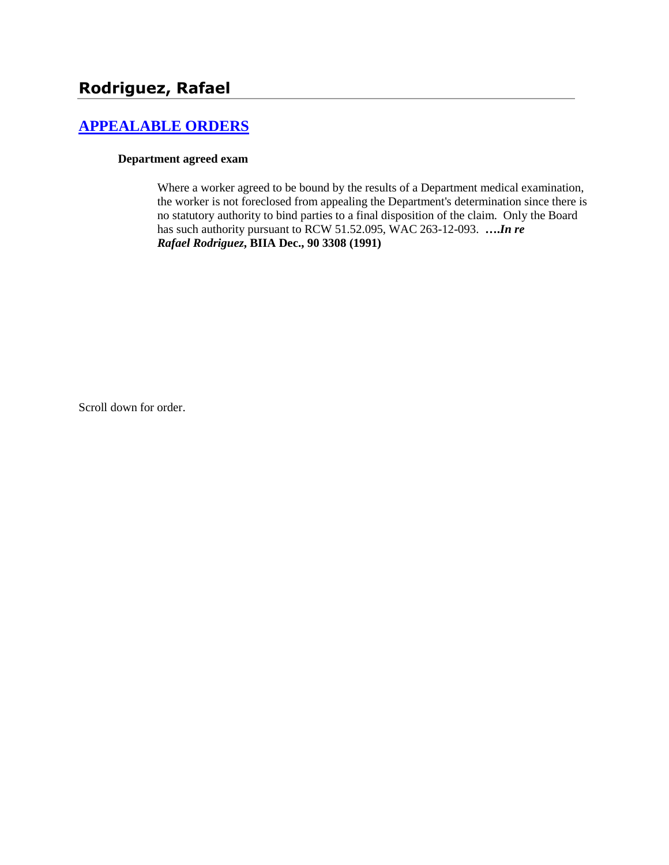# **[APPEALABLE ORDERS](http://www.biia.wa.gov/SDSubjectIndex.html#APPEALABLE_ORDERS)**

#### **Department agreed exam**

Where a worker agreed to be bound by the results of a Department medical examination, the worker is not foreclosed from appealing the Department's determination since there is no statutory authority to bind parties to a final disposition of the claim. Only the Board has such authority pursuant to RCW 51.52.095, WAC 263-12-093. **….***In re Rafael Rodriguez***, BIIA Dec., 90 3308 (1991)**

Scroll down for order.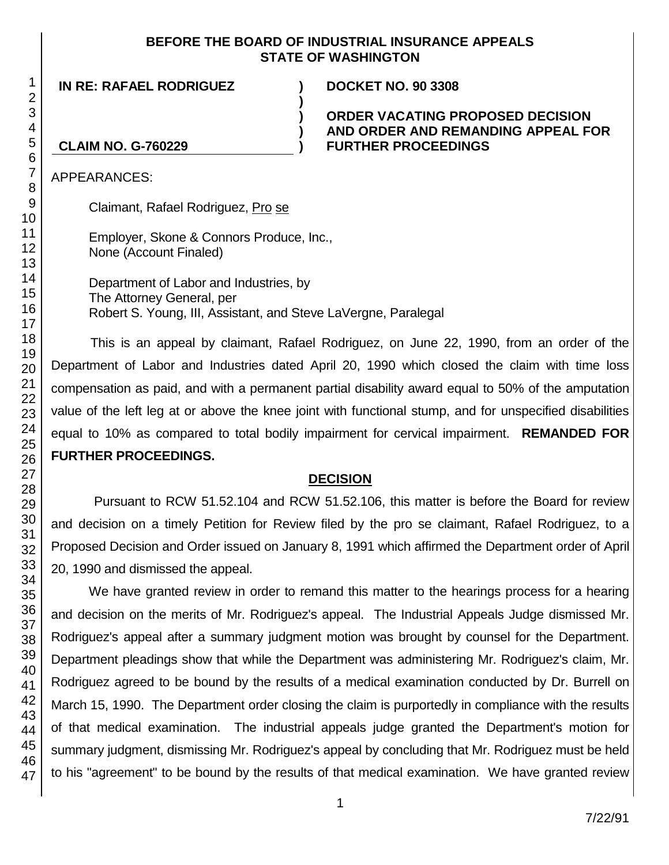### **BEFORE THE BOARD OF INDUSTRIAL INSURANCE APPEALS STATE OF WASHINGTON**

**)**

**) ) )**

**IN RE: RAFAEL RODRIGUEZ ) DOCKET NO. 90 3308**

### **ORDER VACATING PROPOSED DECISION AND ORDER AND REMANDING APPEAL FOR FURTHER PROCEEDINGS**

## **CLAIM NO. G-760229**

APPEARANCES:

Claimant, Rafael Rodriguez, Pro se

Employer, Skone & Connors Produce, Inc., None (Account Finaled)

Department of Labor and Industries, by The Attorney General, per Robert S. Young, III, Assistant, and Steve LaVergne, Paralegal

This is an appeal by claimant, Rafael Rodriguez, on June 22, 1990, from an order of the Department of Labor and Industries dated April 20, 1990 which closed the claim with time loss compensation as paid, and with a permanent partial disability award equal to 50% of the amputation value of the left leg at or above the knee joint with functional stump, and for unspecified disabilities equal to 10% as compared to total bodily impairment for cervical impairment. **REMANDED FOR FURTHER PROCEEDINGS.**

### **DECISION**

Pursuant to RCW 51.52.104 and RCW 51.52.106, this matter is before the Board for review and decision on a timely Petition for Review filed by the pro se claimant, Rafael Rodriguez, to a Proposed Decision and Order issued on January 8, 1991 which affirmed the Department order of April 20, 1990 and dismissed the appeal.

We have granted review in order to remand this matter to the hearings process for a hearing and decision on the merits of Mr. Rodriguez's appeal. The Industrial Appeals Judge dismissed Mr. Rodriguez's appeal after a summary judgment motion was brought by counsel for the Department. Department pleadings show that while the Department was administering Mr. Rodriguez's claim, Mr. Rodriguez agreed to be bound by the results of a medical examination conducted by Dr. Burrell on March 15, 1990. The Department order closing the claim is purportedly in compliance with the results of that medical examination. The industrial appeals judge granted the Department's motion for summary judgment, dismissing Mr. Rodriguez's appeal by concluding that Mr. Rodriguez must be held to his "agreement" to be bound by the results of that medical examination. We have granted review

1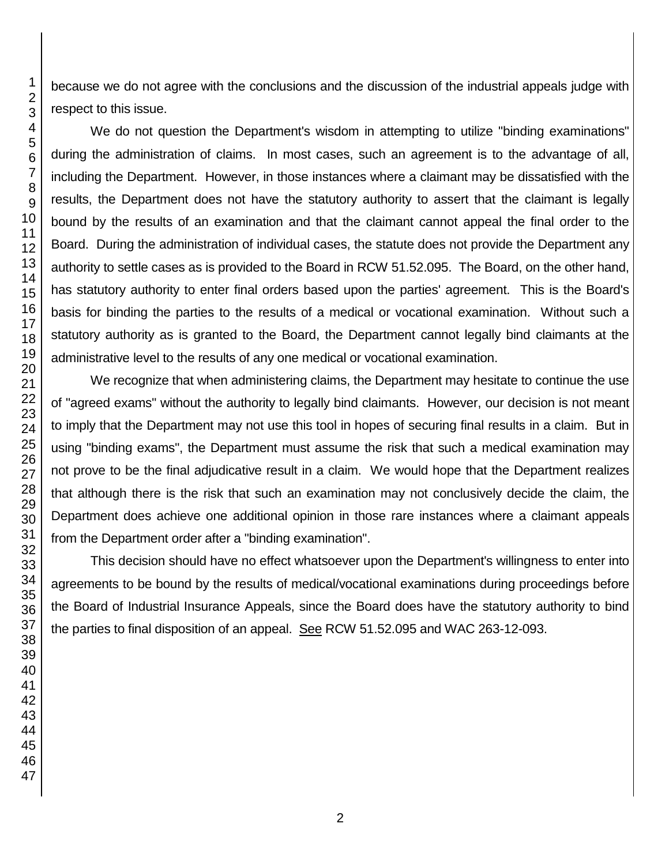because we do not agree with the conclusions and the discussion of the industrial appeals judge with respect to this issue.

We do not question the Department's wisdom in attempting to utilize "binding examinations" during the administration of claims. In most cases, such an agreement is to the advantage of all, including the Department. However, in those instances where a claimant may be dissatisfied with the results, the Department does not have the statutory authority to assert that the claimant is legally bound by the results of an examination and that the claimant cannot appeal the final order to the Board. During the administration of individual cases, the statute does not provide the Department any authority to settle cases as is provided to the Board in RCW 51.52.095. The Board, on the other hand, has statutory authority to enter final orders based upon the parties' agreement. This is the Board's basis for binding the parties to the results of a medical or vocational examination. Without such a statutory authority as is granted to the Board, the Department cannot legally bind claimants at the administrative level to the results of any one medical or vocational examination.

We recognize that when administering claims, the Department may hesitate to continue the use of "agreed exams" without the authority to legally bind claimants. However, our decision is not meant to imply that the Department may not use this tool in hopes of securing final results in a claim. But in using "binding exams", the Department must assume the risk that such a medical examination may not prove to be the final adjudicative result in a claim. We would hope that the Department realizes that although there is the risk that such an examination may not conclusively decide the claim, the Department does achieve one additional opinion in those rare instances where a claimant appeals from the Department order after a "binding examination".

This decision should have no effect whatsoever upon the Department's willingness to enter into agreements to be bound by the results of medical/vocational examinations during proceedings before the Board of Industrial Insurance Appeals, since the Board does have the statutory authority to bind the parties to final disposition of an appeal. See RCW 51.52.095 and WAC 263-12-093.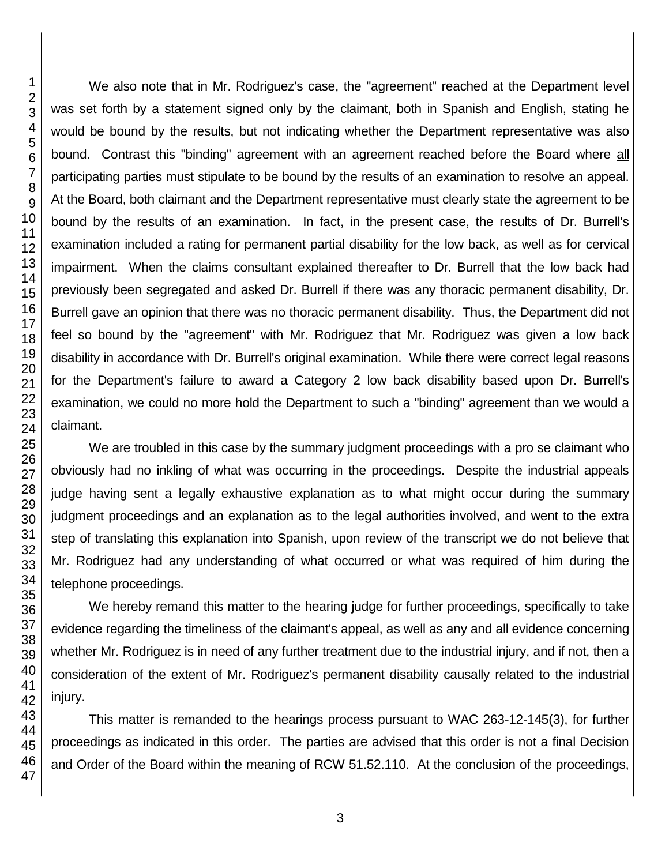We also note that in Mr. Rodriguez's case, the "agreement" reached at the Department level was set forth by a statement signed only by the claimant, both in Spanish and English, stating he would be bound by the results, but not indicating whether the Department representative was also bound. Contrast this "binding" agreement with an agreement reached before the Board where all participating parties must stipulate to be bound by the results of an examination to resolve an appeal. At the Board, both claimant and the Department representative must clearly state the agreement to be bound by the results of an examination. In fact, in the present case, the results of Dr. Burrell's examination included a rating for permanent partial disability for the low back, as well as for cervical impairment. When the claims consultant explained thereafter to Dr. Burrell that the low back had previously been segregated and asked Dr. Burrell if there was any thoracic permanent disability, Dr. Burrell gave an opinion that there was no thoracic permanent disability. Thus, the Department did not feel so bound by the "agreement" with Mr. Rodriguez that Mr. Rodriguez was given a low back disability in accordance with Dr. Burrell's original examination. While there were correct legal reasons for the Department's failure to award a Category 2 low back disability based upon Dr. Burrell's examination, we could no more hold the Department to such a "binding" agreement than we would a claimant.

We are troubled in this case by the summary judgment proceedings with a pro se claimant who obviously had no inkling of what was occurring in the proceedings. Despite the industrial appeals judge having sent a legally exhaustive explanation as to what might occur during the summary judgment proceedings and an explanation as to the legal authorities involved, and went to the extra step of translating this explanation into Spanish, upon review of the transcript we do not believe that Mr. Rodriguez had any understanding of what occurred or what was required of him during the telephone proceedings.

We hereby remand this matter to the hearing judge for further proceedings, specifically to take evidence regarding the timeliness of the claimant's appeal, as well as any and all evidence concerning whether Mr. Rodriguez is in need of any further treatment due to the industrial injury, and if not, then a consideration of the extent of Mr. Rodriguez's permanent disability causally related to the industrial injury.

This matter is remanded to the hearings process pursuant to WAC 263-12-145(3), for further proceedings as indicated in this order. The parties are advised that this order is not a final Decision and Order of the Board within the meaning of RCW 51.52.110. At the conclusion of the proceedings,